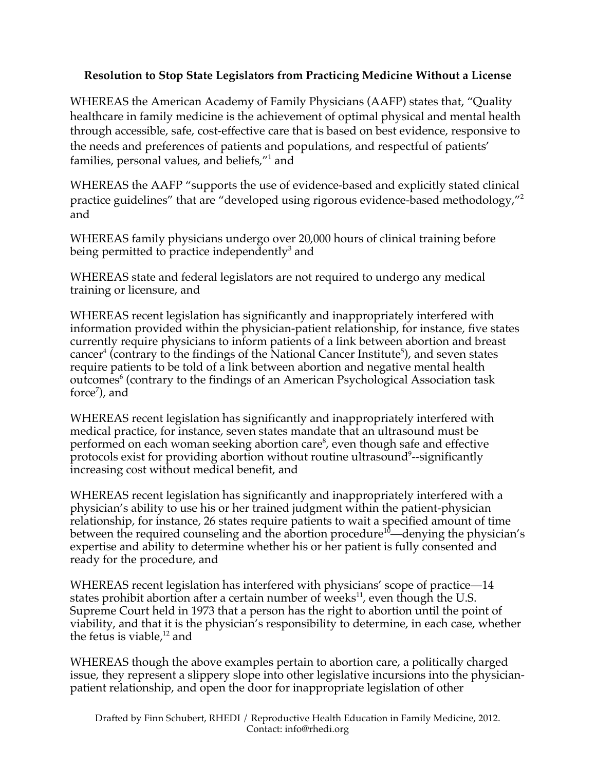## **Resolution to Stop State Legislators from Practicing Medicine Without a License**

WHEREAS the American Academy of Family Physicians (AAFP) states that, "Quality healthcare in family medicine is the achievement of optimal physical and mental health through accessible, safe, cost-effective care that is based on best evidence, responsive to the needs and preferences of patients and populations, and respectful of patients' families, personal values, and beliefs," $^1$  and

WHEREAS the AAFP "supports the use of evidence-based and explicitly stated clinical practice guidelines" that are "developed using rigorous evidence-based methodology,"2 and

WHEREAS family physicians undergo over 20,000 hours of clinical training before being permitted to practice independently<sup>3</sup> and

WHEREAS state and federal legislators are not required to undergo any medical training or licensure, and

WHEREAS recent legislation has significantly and inappropriately interfered with information provided within the physician-patient relationship, for instance, five states currently require physicians to inform patients of a link between abortion and breast cancer<sup>4</sup> (contrary to the findings of the National Cancer Institute<sup>5</sup>), and seven states require patients to be told of a link between abortion and negative mental health outcomes<sup>6</sup> (contrary to the findings of an American Psychological Association task force<sup>7</sup>), and

WHEREAS recent legislation has significantly and inappropriately interfered with medical practice, for instance, seven states mandate that an ultrasound must be performed on each woman seeking abortion care<sup>8</sup>, even though safe and effective protocols exist for providing abortion without routine ultrasound<sup>9</sup>--significantly increasing cost without medical benefit, and

WHEREAS recent legislation has significantly and inappropriately interfered with a physician's ability to use his or her trained judgment within the patient-physician relationship, for instance, 26 states require patients to wait a specified amount of time between the required counseling and the abortion procedure<sup>10</sup>—denying the physician's expertise and ability to determine whether his or her patient is fully consented and ready for the procedure, and

WHEREAS recent legislation has interfered with physicians' scope of practice—14 states prohibit abortion after a certain number of weeks $^{11}$ , even though the U.S. Supreme Court held in 1973 that a person has the right to abortion until the point of viability, and that it is the physician's responsibility to determine, in each case, whether the fetus is viable, $12$  and

WHEREAS though the above examples pertain to abortion care, a politically charged issue, they represent a slippery slope into other legislative incursions into the physicianpatient relationship, and open the door for inappropriate legislation of other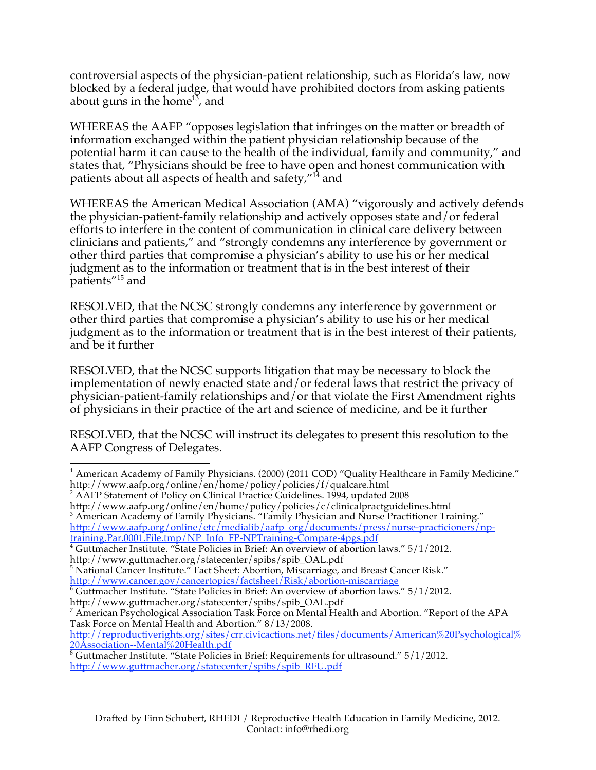controversial aspects of the physician-patient relationship, such as Florida's law, now blocked by a federal judge, that would have prohibited doctors from asking patients about guns in the home<sup>13</sup>, and

WHEREAS the AAFP "opposes legislation that infringes on the matter or breadth of information exchanged within the patient physician relationship because of the potential harm it can cause to the health of the individual, family and community," and states that, "Physicians should be free to have open and honest communication with patients about all aspects of health and safety,"14 and

WHEREAS the American Medical Association (AMA) "vigorously and actively defends the physician-patient-family relationship and actively opposes state and/or federal efforts to interfere in the content of communication in clinical care delivery between clinicians and patients," and "strongly condemns any interference by government or other third parties that compromise a physician's ability to use his or her medical judgment as to the information or treatment that is in the best interest of their patients"15 and

RESOLVED, that the NCSC strongly condemns any interference by government or other third parties that compromise a physician's ability to use his or her medical judgment as to the information or treatment that is in the best interest of their patients, and be it further

RESOLVED, that the NCSC supports litigation that may be necessary to block the implementation of newly enacted state and/or federal laws that restrict the privacy of physician-patient-family relationships and/or that violate the First Amendment rights of physicians in their practice of the art and science of medicine, and be it further

RESOLVED, that the NCSC will instruct its delegates to present this resolution to the AAFP Congress of Delegates.

<sup>2</sup> AAFP Statement of Policy on Clinical Practice Guidelines. 1994, updated 2008 http://www.aafp.org/online/en/home/policy/policies/c/clinicalpractguidelines.html 3 <sup>3</sup> American Academy of Family Physicians. "Family Physician and Nurse Practitioner Training." http://www.aafp.org/online/etc/medialib/aafp\_org/documents/press/nurse-practicioners/nptraining.Par.0001.File.tmp/NP\_Info\_FP-NPTraining-Compare-4pgs.pdf <sup>4</sup>

 $\overline{4}$  Guttmacher Institute. "State Policies in Brief: An overview of abortion laws." 5/1/2012.

<u> 1989 - Jan Samuel Barbara, político establecido de la provincia de la provincia de la provincia de la provinci</u>

http://www.cancer.gov/cancertopics/factsheet/Risk/abortion-miscarriage<br><sup>6</sup> Guttmacher Institute. "State Policies in Brief: An overview of abortion laws." 5/1/2012. http://www.guttmacher.org/statecenter/spibs/spib\_OAL.pdf

7 American Psychological Association Task Force on Mental Health and Abortion. "Report of the APA

Task Force on Mental Health and Abortion." 8/13/2008. http://reproductiverights.org/sites/crr.civicactions.net/files/documents/American%20Psychological%

<sup>&</sup>lt;sup>1</sup> American Academy of Family Physicians. (2000) (2011 COD) "Quality Healthcare in Family Medicine." http://www.aafp.org/online/en/home/policy/policies/f/qualcare.html

http://www.guttmacher.org/statecenter/spibs/spib\_OAL.pdf<br><sup>5</sup> National Cancer Institute.″ Fact Sheet: Abortion, Miscarriage, and Breast Cancer Risk.″

<sup>2&</sup>lt;u>0Association--Mental%20Health.pdf</u><br><sup>8</sup> Guttmacher Institute. "State Policies in Brief: Requirements for ultrasound." 5/1/2012. http://www.guttmacher.org/statecenter/spibs/spib\_RFU.pdf